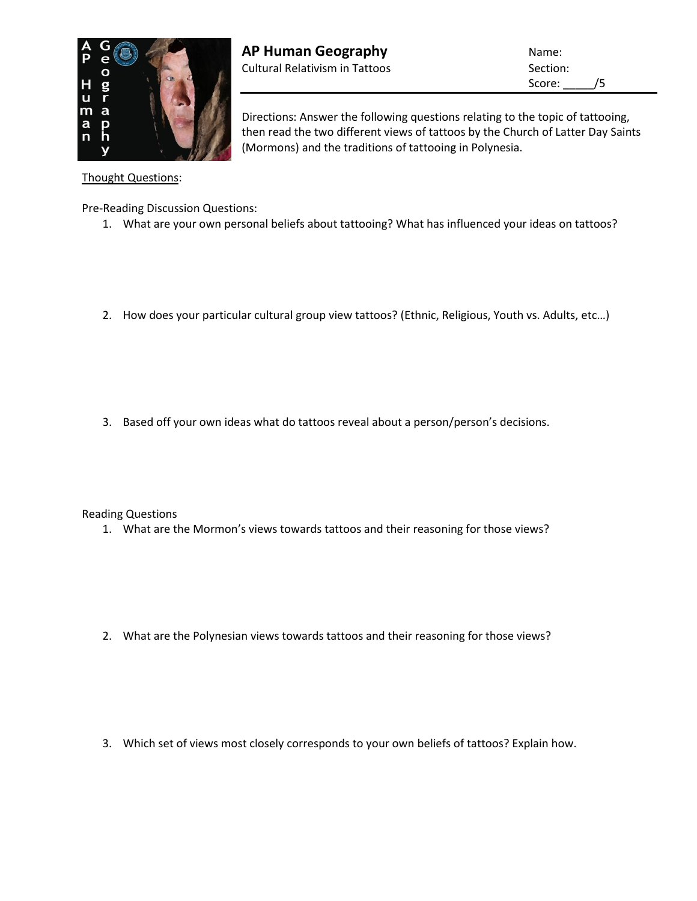

Score: /5

Directions: Answer the following questions relating to the topic of tattooing, then read the two different views of tattoos by the Church of Latter Day Saints (Mormons) and the traditions of tattooing in Polynesia.

Thought Questions:

Pre-Reading Discussion Questions:

- 1. What are your own personal beliefs about tattooing? What has influenced your ideas on tattoos?
- 2. How does your particular cultural group view tattoos? (Ethnic, Religious, Youth vs. Adults, etc…)

3. Based off your own ideas what do tattoos reveal about a person/person's decisions.

Reading Questions

1. What are the Mormon's views towards tattoos and their reasoning for those views?

2. What are the Polynesian views towards tattoos and their reasoning for those views?

3. Which set of views most closely corresponds to your own beliefs of tattoos? Explain how.